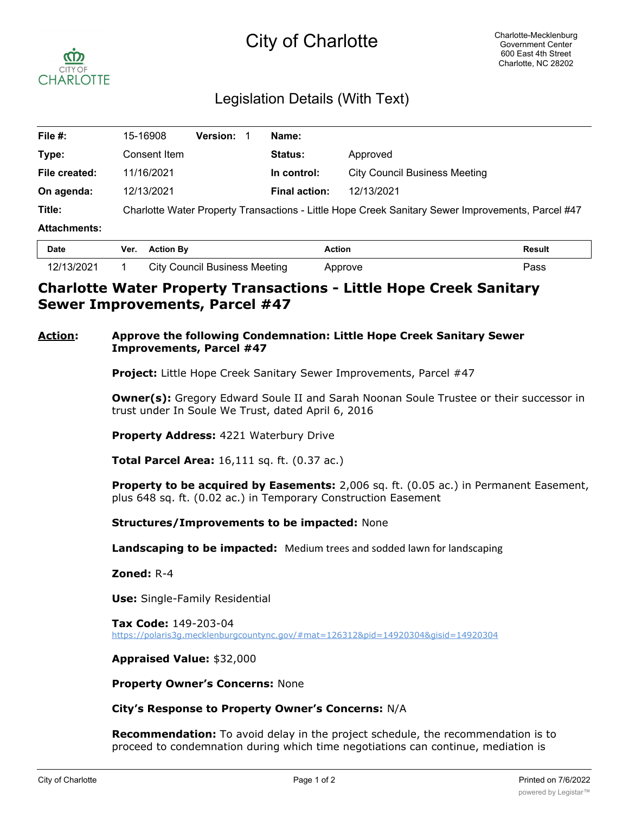# City of Charlotte



## Legislation Details (With Text)

| File #:             | 15-16908                                                                                          | <b>Version: 1</b> | Name:                |                                      |  |
|---------------------|---------------------------------------------------------------------------------------------------|-------------------|----------------------|--------------------------------------|--|
| Type:               | Consent Item                                                                                      |                   | <b>Status:</b>       | Approved                             |  |
| File created:       | 11/16/2021                                                                                        |                   | In control:          | <b>City Council Business Meeting</b> |  |
| On agenda:          | 12/13/2021                                                                                        |                   | <b>Final action:</b> | 12/13/2021                           |  |
| Title:              | Charlotte Water Property Transactions - Little Hope Creek Sanitary Sewer Improvements, Parcel #47 |                   |                      |                                      |  |
| <b>Attachments:</b> |                                                                                                   |                   |                      |                                      |  |
| D-4-                | $M_{\rm BH} = 0.41$ and $\overline{D}_{\rm BH}$                                                   |                   | $A = 41 - 4$         | <b>Decide</b>                        |  |

| <b>Date</b> | Ver. | <b>Action By</b>                     | Action  | Result |
|-------------|------|--------------------------------------|---------|--------|
| 12/13/2021  |      | <b>City Council Business Meeting</b> | Approve | Pass   |

### **Charlotte Water Property Transactions - Little Hope Creek Sanitary Sewer Improvements, Parcel #47**

#### **Action: Approve the following Condemnation: Little Hope Creek Sanitary Sewer Improvements, Parcel #47**

**Project:** Little Hope Creek Sanitary Sewer Improvements, Parcel #47

**Owner(s):** Gregory Edward Soule II and Sarah Noonan Soule Trustee or their successor in trust under In Soule We Trust, dated April 6, 2016

**Property Address:** 4221 Waterbury Drive

**Total Parcel Area:** 16,111 sq. ft. (0.37 ac.)

**Property to be acquired by Easements:** 2,006 sq. ft. (0.05 ac.) in Permanent Easement, plus 648 sq. ft. (0.02 ac.) in Temporary Construction Easement

**Structures/Improvements to be impacted:** None

**Landscaping to be impacted:** Medium trees and sodded lawn for landscaping

**Zoned:** R-4

**Use:** Single-Family Residential

**Tax Code:** 149-203-04 https://polaris3g.mecklenburgcountync.gov/#mat=126312&pid=14920304&gisid=14920304

**Appraised Value:** \$32,000

**Property Owner's Concerns:** None

**City's Response to Property Owner's Concerns:** N/A

**Recommendation:** To avoid delay in the project schedule, the recommendation is to proceed to condemnation during which time negotiations can continue, mediation is